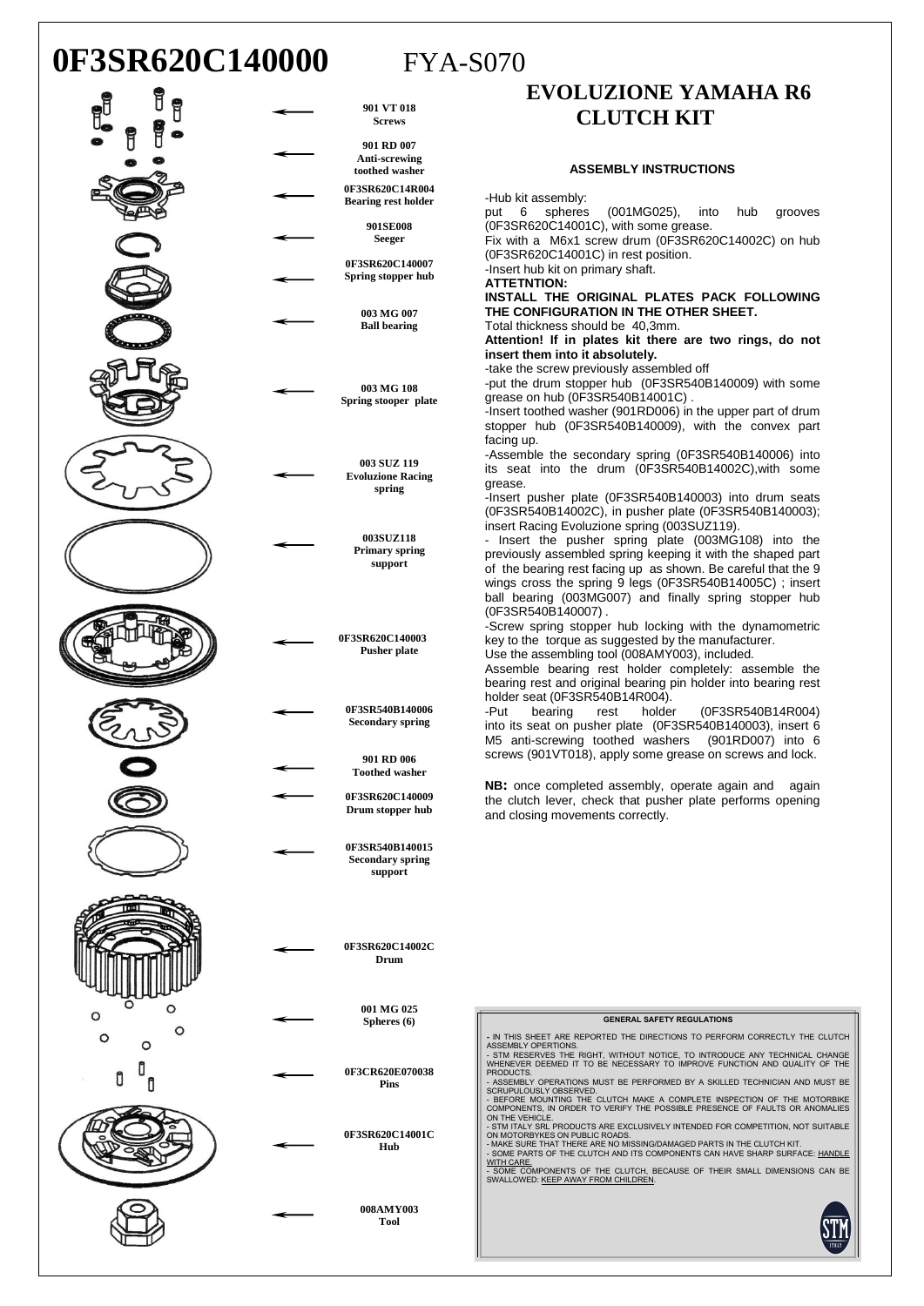## **0F3SR620C140000** FYA-S070



### **EVOLUZIONE YAMAHA R6 CLUTCH KIT**

#### **ASSEMBLY INSTRUCTIONS**

-Hub kit assembly:

put 6 spheres (001MG025), into hub grooves (0F3SR620C14001C), with some grease.

Fix with a M6x1 screw drum (0F3SR620C14002C) on hub (0F3SR620C14001C) in rest position.

-Insert hub kit on primary shaft.

**ATTETNTION:**

**INSTALL THE ORIGINAL PLATES PACK FOLLOWING THE CONFIGURATION IN THE OTHER SHEET.** Total thickness should be 40,3mm.

**Attention! If in plates kit there are two rings, do not insert them into it absolutely.**

-take the screw previously assembled off

-put the drum stopper hub (0F3SR540B140009) with some grease on hub (0F3SR540B14001C).

-Insert toothed washer (901RD006) in the upper part of drum stopper hub (0F3SR540B140009), with the convex part facing up.

-Assemble the secondary spring (0F3SR540B140006) into its seat into the drum (0F3SR540B14002C),with some

-Insert pusher plate (0F3SR540B140003) into drum seats (0F3SR540B14002C), in pusher plate (0F3SR540B140003); insert Racing Evoluzione spring (003SUZ119).

Insert the pusher spring plate (003MG108) into the previously assembled spring keeping it with the shaped part of the bearing rest facing up as shown. Be careful that the 9 wings cross the spring 9 legs (0F3SR540B14005C) ; insert ball bearing (003MG007) and finally spring stopper hub (0F3SR540B140007) .

-Screw spring stopper hub locking with the dynamometric key to the torque as suggested by the manufacturer.

Use the assembling tool (008AMY003), included.

Assemble bearing rest holder completely: assemble the bearing rest and original bearing pin holder into bearing rest holder seat (0F3SR540B14R004).

-Put bearing rest holder (0F3SR540B14R004) into its seat on pusher plate (0F3SR540B140003), insert 6 M5 anti-screwing toothed washers (901RD007) into 6 screws (901VT018), apply some grease on screws and lock.

**NB**: once completed assembly, operate again and again the clutch lever, check that pusher plate performs opening and closing movements correctly.

### **GENERAL SAFETY REGULATIONS**

**-** IN THIS SHEET ARE REPORTED THE DIRECTIONS TO PERFORM CORRECTLY THE CLUTCH ASSEMBLY OPERTIONS. - STM RESERVES THE RIGHT, WITHOUT NOTICE, TO INTRODUCE ANY TECHNICAL CHANGE WHENEVER DEEMED IT TO BE NECESSARY TO IMPROVE FUNCTION AND QUALITY OF THE

TRODUCTS.<br>PRODUCTS.<br>- ASSEMBLY OPERATIONS MUST BE PERFORMED BY A SKILLED TECHNICIAN AND MUST BE

- ASSEMBLY OPERATIONS MUST BE PERFORMED BY A SKILLED TECHNICIAN AND MUST BE<br>CRUPULOUSLY OBSERVED.<br>- BEFORE MOUNTING THE CLUTCH MAKE A COMPLETE INSPECTION OF THE MOTORBIKE<br>COMPONENTS, IN ORDER TO VERIFY THE POSSIBLE PRESENC

- SOME COMPONENTS OF THE CLUTCH, BECAUSE OF THEIR SMALL DIMENSIONS CAN BE<br>SWALLOWED: <u>KEEP AWAY FROM CHILDREN</u>.